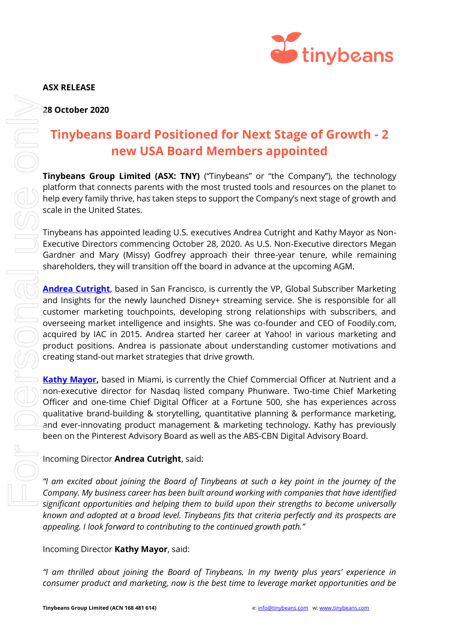

# **Tinybeans Board Positioned for Next Stage of Growth - 2 new USA Board Members appointed**

**Tinybeans Group Limited (ASX: TNY)** ("Tinybeans" or "the Company"), the technology platform that connects parents with the most trusted tools and resources on the planet to help every family thrive, has taken steps to support the Company's next stage of growth and scale in the United States.

Tinybeans has appointed leading U.S. executives Andrea Cutright and Kathy Mayor as Non-Executive Directors commencing October 28, 2020. As U.S. Non-Executive directors Megan Gardner and Mary (Missy) Godfrey approach their three-year tenure, while remaining shareholders, they will transition off the board in advance at the upcoming AGM.

**[Andrea Cutright](https://www.linkedin.com/in/andreacutright/)**, based in San Francisco, is currently the VP, Global Subscriber Marketing and Insights for the newly launched Disney+ streaming service. She is responsible for all customer marketing touchpoints, developing strong relationships with subscribers, and overseeing market intelligence and insights. She was co-founder and CEO of Foodily.com, acquired by IAC in 2015. Andrea started her career at Yahoo! in various marketing and product positions. Andrea is passionate about understanding customer motivations and creating stand-out market strategies that drive growth. **28 October 2020**<br> **Tinybeans Board Positioned for Next Stage of Growth - 2<br>
<b>Tinybeans from Board Members appointed**<br> **Consumery.** The technology and landing to star They Timpleans or the Company's near tage of growth and

**[Kathy Mayor,](https://www.linkedin.com/in/kathy-tan-mayor/)** based in Miami, is currently the Chief Commercial Officer at Nutrient and a non-executive director for Nasdaq listed company Phunware. Two-time Chief Marketing Officer and one-time Chief Digital Officer at a Fortune 500, she has experiences across qualitative brand-building & storytelling, quantitative planning & performance marketing, and ever-innovating product management & marketing technology. Kathy has previously been on the Pinterest Advisory Board as well as the ABS-CBN Digital Advisory Board.

## Incoming Director **Andrea Cutright**, said:

*"I am excited about joining the Board of Tinybeans at such a key point in the journey of the Company. My business career has been built around working with companies that have identified significant opportunities and helping them to build upon their strengths to become universally known and adopted at a broad level. Tinybeans fits that criteria perfectly and its prospects are appealing. I look forward to contributing to the continued growth path."*

### Incoming Director **Kathy Mayor**, said:

*"I am thrilled about joining the Board of Tinybeans. In my twenty plus years' experience in*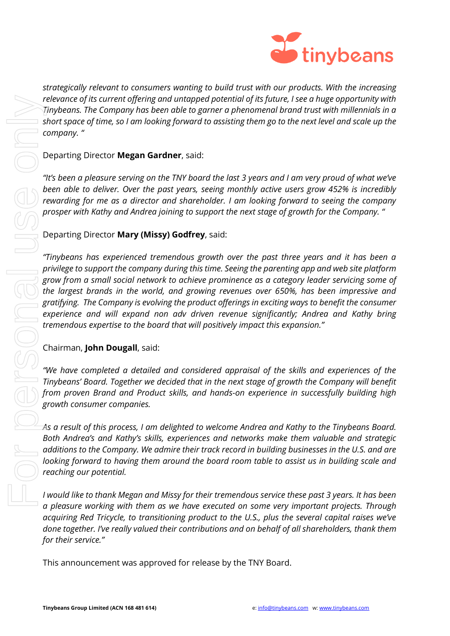

*strategically relevant to consumers wanting to build trust with our products. With the increasing relevance of its current offering and untapped potential of its future, I see a huge opportunity with Tinybeans. The Company has been able to garner a phenomenal brand trust with millennials in a short space of time, so I am looking forward to assisting them go to the next level and scale up the company. "*

#### Departing Director **Megan Gardner**, said:

*"It's been a pleasure serving on the TNY board the last 3 years and I am very proud of what we've been able to deliver. Over the past years, seeing monthly active users grow 452% is incredibly rewarding for me as a director and shareholder. I am looking forward to seeing the company prosper with Kathy and Andrea joining to support the next stage of growth for the Company. "*

#### Departing Director **Mary (Missy) Godfrey**, said:

*"Tinybeans has experienced tremendous growth over the past three years and it has been a privilege to support the company during this time. Seeing the parenting app and web site platform grow from a small social network to achieve prominence as a category leader servicing some of the largest brands in the world, and growing revenues over 650%, has been impressive and gratifying. The Company is evolving the product offerings in exciting ways to benefit the consumer experience and will expand non adv driven revenue significantly; Andrea and Kathy bring tremendous expertise to the board that will positively impact this expansion."* release of its current offering and untapped potential of its juture,<br>
Thybeans. The Company has been oble to game a phenomenal brack-<br>
short space of time, so I am looking forward to assisting them go to to<br>
company."<br>
De

#### Chairman, **John Dougall**, said:

*"We have completed a detailed and considered appraisal of the skills and experiences of the Tinybeans' Board. Together we decided that in the next stage of growth the Company will benefit from proven Brand and Product skills, and hands-on experience in successfully building high growth consumer companies.* 

*As a result of this process, I am delighted to welcome Andrea and Kathy to the Tinybeans Board. Both Andrea's and Kathy's skills, experiences and networks make them valuable and strategic additions to the Company. We admire their track record in building businesses in the U.S. and are looking forward to having them around the board room table to assist us in building scale and reaching our potential.*

*I would like to thank Megan and Missy for their tremendous service these past 3 years. It has been a pleasure working with them as we have executed on some very important projects. Through acquiring Red Tricycle, to transitioning product to the U.S., plus the several capital raises we've done together. I've really valued their contributions and on behalf of all shareholders, thank them for their service."*